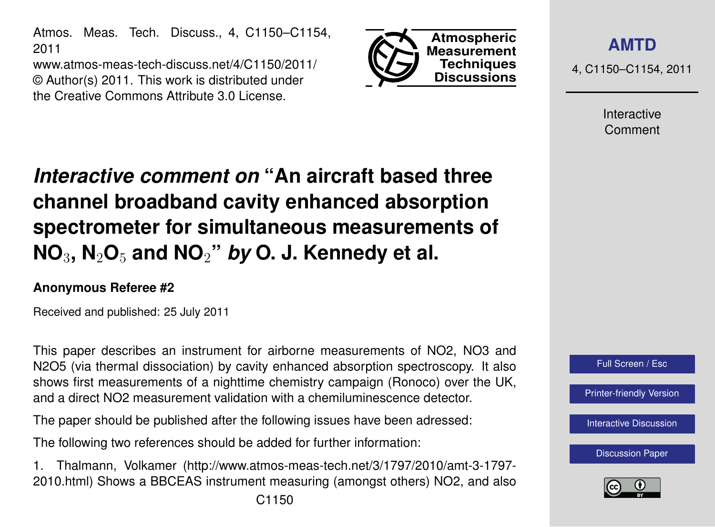Atmos. Meas. Tech. Discuss., 4, C1150–C1154, 2011

www.atmos-meas-tech-discuss.net/4/C1150/2011/ © Author(s) 2011. This work is distributed under the Creative Commons Attribute 3.0 License.



**[AMTD](http://www.atmos-meas-tech-discuss.net)**

4, C1150–C1154, 2011

Interactive Comment

## *Interactive comment on* **"An aircraft based three channel broadband cavity enhanced absorption spectrometer for simultaneous measurements of NO**3**, N**2**O**<sup>5</sup> **and NO**2**"** *by* **O. J. Kennedy et al.**

## **Anonymous Referee #2**

Received and published: 25 July 2011

This paper describes an instrument for airborne measurements of NO2, NO3 and N2O5 (via thermal dissociation) by cavity enhanced absorption spectroscopy. It also shows first measurements of a nighttime chemistry campaign (Ronoco) over the UK, and a direct NO2 measurement validation with a chemiluminescence detector.

The paper should be published after the following issues have been adressed:

The following two references should be added for further information:

1. Thalmann, Volkamer (http://www.atmos-meas-tech.net/3/1797/2010/amt-3-1797- 2010.html) Shows a BBCEAS instrument measuring (amongst others) NO2, and also



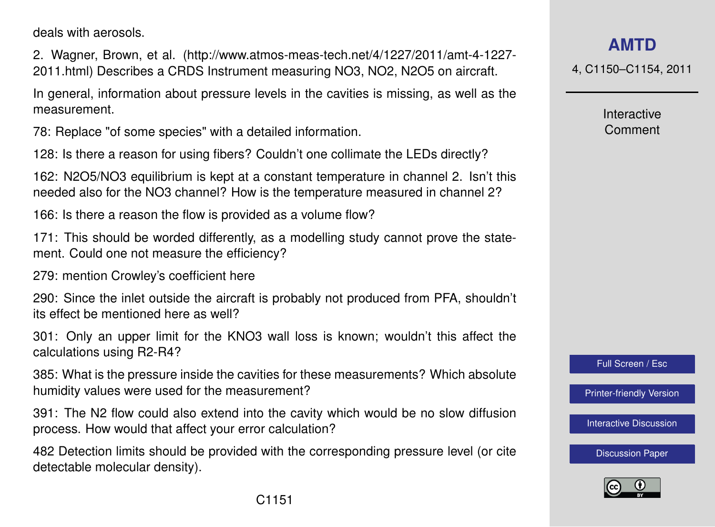deals with aerosols.

2. Wagner, Brown, et al. (http://www.atmos-meas-tech.net/4/1227/2011/amt-4-1227- 2011.html) Describes a CRDS Instrument measuring NO3, NO2, N2O5 on aircraft.

In general, information about pressure levels in the cavities is missing, as well as the measurement.

78: Replace "of some species" with a detailed information.

128: Is there a reason for using fibers? Couldn't one collimate the LEDs directly?

162: N2O5/NO3 equilibrium is kept at a constant temperature in channel 2. Isn't this needed also for the NO3 channel? How is the temperature measured in channel 2?

166: Is there a reason the flow is provided as a volume flow?

171: This should be worded differently, as a modelling study cannot prove the statement. Could one not measure the efficiency?

279: mention Crowley's coefficient here

290: Since the inlet outside the aircraft is probably not produced from PFA, shouldn't its effect be mentioned here as well?

301: Only an upper limit for the KNO3 wall loss is known; wouldn't this affect the calculations using R2-R4?

385: What is the pressure inside the cavities for these measurements? Which absolute humidity values were used for the measurement?

391: The N2 flow could also extend into the cavity which would be no slow diffusion process. How would that affect your error calculation?

482 Detection limits should be provided with the corresponding pressure level (or cite detectable molecular density).

**[AMTD](http://www.atmos-meas-tech-discuss.net)**

4, C1150–C1154, 2011

Interactive Comment

Full Screen / Esc

[Printer-friendly Version](http://www.atmos-meas-tech-discuss.net/4/C1150/2011/amtd-4-C1150-2011-print.pdf)

[Interactive Discussion](http://www.atmos-meas-tech-discuss.net/4/3499/2011/amtd-4-3499-2011-discussion.html)

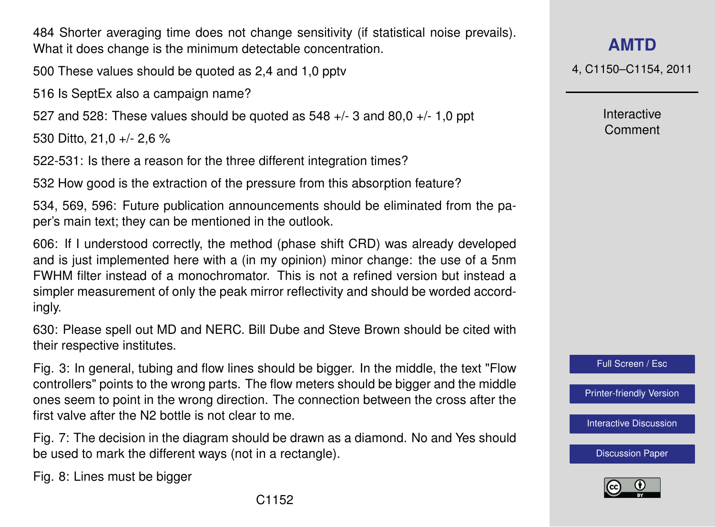484 Shorter averaging time does not change sensitivity (if statistical noise prevails). What it does change is the minimum detectable concentration.

500 These values should be quoted as 2,4 and 1,0 pptv

516 Is SeptEx also a campaign name?

527 and 528: These values should be quoted as  $548 + (-3)$  and  $80.0 + (-1)$  ppt

530 Ditto, 21,0 +/- 2,6 %

522-531: Is there a reason for the three different integration times?

532 How good is the extraction of the pressure from this absorption feature?

534, 569, 596: Future publication announcements should be eliminated from the paper's main text; they can be mentioned in the outlook.

606: If I understood correctly, the method (phase shift CRD) was already developed and is just implemented here with a (in my opinion) minor change: the use of a 5nm FWHM filter instead of a monochromator. This is not a refined version but instead a simpler measurement of only the peak mirror reflectivity and should be worded accordingly.

630: Please spell out MD and NERC. Bill Dube and Steve Brown should be cited with their respective institutes.

Fig. 3: In general, tubing and flow lines should be bigger. In the middle, the text "Flow controllers" points to the wrong parts. The flow meters should be bigger and the middle ones seem to point in the wrong direction. The connection between the cross after the first valve after the N2 bottle is not clear to me.

Fig. 7: The decision in the diagram should be drawn as a diamond. No and Yes should be used to mark the different ways (not in a rectangle).

Fig. 8: Lines must be bigger

4, C1150–C1154, 2011

Interactive Comment



[Printer-friendly Version](http://www.atmos-meas-tech-discuss.net/4/C1150/2011/amtd-4-C1150-2011-print.pdf)

[Interactive Discussion](http://www.atmos-meas-tech-discuss.net/4/3499/2011/amtd-4-3499-2011-discussion.html)

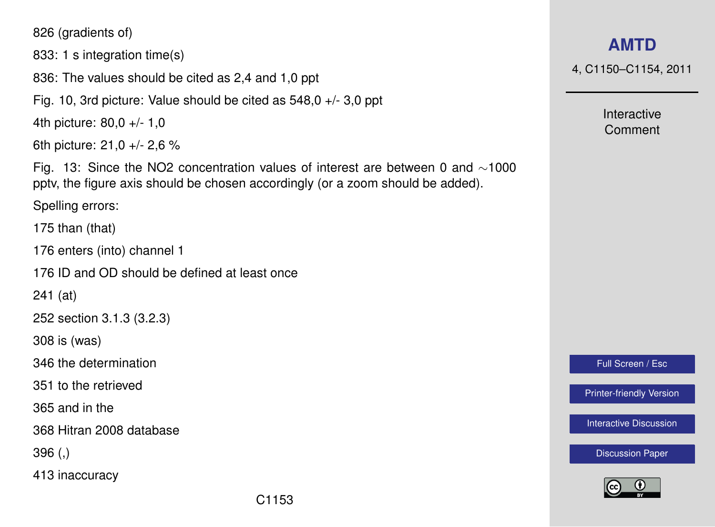826 (gradients of)

833: 1 s integration time(s)

836: The values should be cited as 2,4 and 1,0 ppt

Fig. 10, 3rd picture: Value should be cited as 548,0 +/- 3,0 ppt

4th picture: 80,0 +/- 1,0

6th picture: 21,0 +/- 2,6 %

Fig. 13: Since the NO2 concentration values of interest are between 0 and ∼1000 pptv, the figure axis should be chosen accordingly (or a zoom should be added).

Spelling errors:

175 than (that)

176 enters (into) channel 1

176 ID and OD should be defined at least once

241 (at)

252 section 3.1.3 (3.2.3)

308 is (was)

346 the determination

351 to the retrieved

365 and in the

368 Hitran 2008 database

396 (,)

413 inaccuracy

4, C1150–C1154, 2011

Interactive Comment

Full Screen / Esc

[Printer-friendly Version](http://www.atmos-meas-tech-discuss.net/4/C1150/2011/amtd-4-C1150-2011-print.pdf)

[Interactive Discussion](http://www.atmos-meas-tech-discuss.net/4/3499/2011/amtd-4-3499-2011-discussion.html)